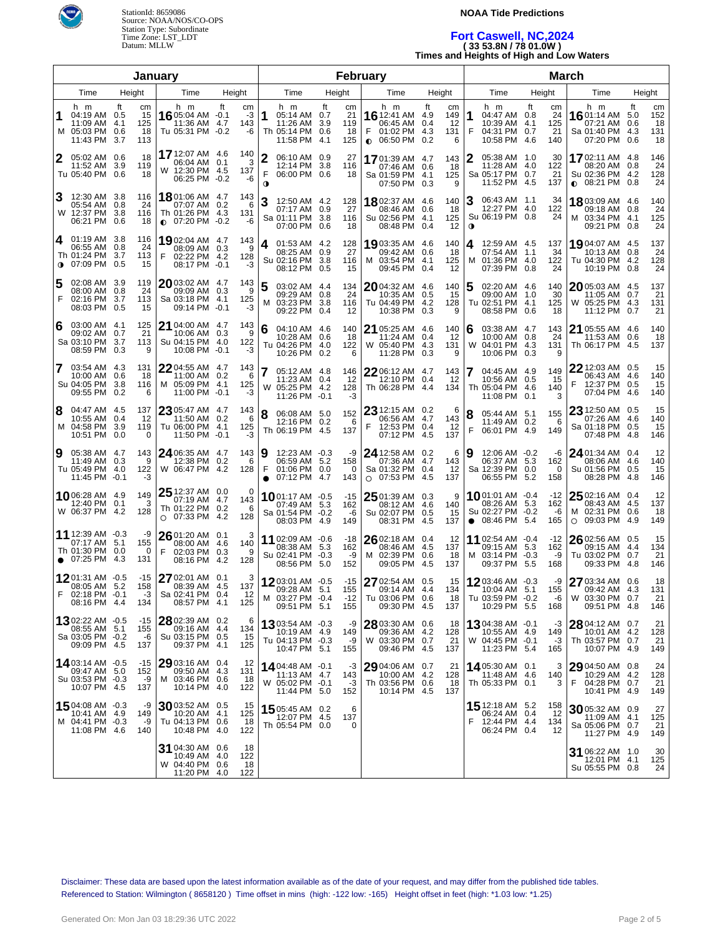

#### **NOAA Tide Predictions**

## **Fort Caswell, NC,2024 ( 33 53.8N / 78 01.0W ) Times and Heights of High and Low Waters**

| January                                                                                                                                                                                                              | February                                                                                                                                                                                        |                                                                                                                                                         | <b>March</b>                                                                                                                                                    |  |  |  |  |  |  |  |
|----------------------------------------------------------------------------------------------------------------------------------------------------------------------------------------------------------------------|-------------------------------------------------------------------------------------------------------------------------------------------------------------------------------------------------|---------------------------------------------------------------------------------------------------------------------------------------------------------|-----------------------------------------------------------------------------------------------------------------------------------------------------------------|--|--|--|--|--|--|--|
| Time<br>Height<br>Time<br>Height                                                                                                                                                                                     | Time<br>Height<br>Time                                                                                                                                                                          | Height<br>Time<br>Height                                                                                                                                | Time<br>Height                                                                                                                                                  |  |  |  |  |  |  |  |
| h m<br>ft<br>h m<br>ft<br>cm<br>cm<br>04:19 AM 0.5<br>15<br>16 05:04 AM -0.1<br>-3<br>1<br>11:09 AM 4.1<br>125<br>11:36 AM<br>4.7<br>143<br>M 05:03 PM 0.6<br>18<br>Tu 05:31 PM -0.2<br>-6<br>11:43 PM<br>3.7<br>113 | h m<br>ft<br>h m<br>cm<br>21<br>$1612:41$ AM<br>05:14 AM 0.7<br>11:26 AM 3.9<br>119<br>06:45 AM<br>F<br>Th 05:14 PM 0.6<br>18<br>01:02 PM<br>11:58 PM<br>$0.06:50$ PM<br>125<br>-4.1            | ft<br>cm<br>h m<br>ft<br>1<br>4.9<br>149<br>04:47 AM 0.8<br>0.4<br>12<br>10:39 AM 4.1<br>4.3<br>131<br>F<br>04:31 PM 0.7<br>10:58 PM<br>0.2<br>6<br>4.6 | h m<br>ft<br>cm<br>cm<br><b>16</b> 01:14 AM<br>152<br>24<br>5.0<br>125<br>07:21 AM<br>18<br>0.6<br>21<br>Sa 01:40 PM 4.3<br>131<br>07:20 PM<br>0.6<br>18<br>140 |  |  |  |  |  |  |  |
| 17 12:07 AM 4.6<br>140<br>2<br>05:02 AM 0.6<br>18<br>06:04 AM 0.1<br>3<br>11:52 AM 3.9<br>119<br>W 12:30 PM 4.5<br>137<br>Tu 05:40 PM 0.6<br>18<br>06:25 PM -0.2<br>-6                                               | 2<br>06:10 AM 0.9<br>27<br>17 01:39 AM 4.7<br>12:14 PM 3.8<br>116<br>07:46 AM 0.6<br>F<br>06:00 PM 0.6<br>18<br>Sa 01:59 PM 4.1<br>$\bullet$<br>07:50 PM 0.3                                    | 2<br>05:38 AM 1.0<br>143<br>11:28 AM 4.0<br>18<br>Sa 05:17 PM 0.7<br>125<br>11:52 PM 4.5<br>9                                                           | <b>17</b> 02:11 AM 4.8<br>146<br>30<br>24<br>122<br>08:20 AM 0.8<br>21<br>Su 02:36 PM 4.2<br>128<br>24<br>$\bullet$ 08:21 PM 0.8<br>137                         |  |  |  |  |  |  |  |
| 12:30 AM 3.8<br>18 01:06 AM 4.7<br>143<br>116<br>05:54 AM 0.8<br>24<br>07:07 AM 0.2<br>6<br>W 12:37 PM 3.8<br>116<br>Th 01:26 PM 4.3<br>131<br>06:21 PM 0.6<br>18<br>$\bullet$ 07:20 PM -0.2<br>-6                   | 3<br>12:50 AM 4.2<br>128<br>1802:37 AM 4.6<br>27<br>07:17 AM 0.9<br>08:46 AM 0.6<br>Sa 01:11 PM 3.8<br>116<br>Su 02:56 PM 4.1<br>07:00 PM 0.6<br>08:48 PM 0.4<br>18                             | 3<br>06:43 AM 1.1<br>140<br>12:27 PM 4.0<br>18<br>Su 06:19 PM 0.8<br>125<br>12<br>$\mathbf 0$                                                           | 34<br>1803:09 AM 4.6<br>140<br>122<br>24<br>09:18 AM<br>0.8<br>24<br>M 03:34 PM 4.1<br>125<br>09:21 PM 0.8<br>24                                                |  |  |  |  |  |  |  |
| 01:19 AM 3.8<br>4<br>116<br>19 02:04 AM 4.7<br>143<br>06:55 AM 0.8<br>24<br>08:09 AM 0.3<br>9<br>Th 01:24 PM 3.7<br>113<br>02:22 PM 4.2<br>128<br>07:09 PM 0.5<br>15<br>08:17 PM<br>$\mathbf o$<br>$-0.1$<br>-3      | 4<br>01:53 AM 4.2<br>128<br>19 03:35 AM 4.6<br>27<br>08:25 AM 0.9<br>09:42 AM 0.6<br>Su 02:16 PM 3.8<br>116<br>M 03:54 PM 4.1<br>08:12 PM 0.5<br>15<br>09:45 PM 0.4                             | 140<br>12:59 AM 4.5<br>4<br>18<br>07:54 AM 1.1<br>01:36 PM 4.0<br>125<br>м<br>12<br>07:39 PM 0.8                                                        | 137<br>19 04:07 AM 4.5<br>137<br>34<br>10:13 AM<br>24<br>0.8<br>122<br>Tu 04:30 PM 4.2<br>128<br>24<br>24<br>10:19 PM 0.8                                       |  |  |  |  |  |  |  |
| 02:08 AM 3.9<br>119<br>2003:02 AM 4.7<br>143<br>5<br>24<br>08:00 AM 0.8<br>09:09 AM 0.3<br>9<br>F<br>02:16 PM 3.7<br>113<br>Sa 03:18 PM 4.1<br>125<br>08:03 PM 0.5<br>09:14 PM<br>$-0.1$<br>-3<br>15                 | 5<br>03:02 AM 4.4<br>134<br>2004:32 AM 4.6<br>24<br>09:29 AM 0.8<br>10:35 AM<br>03:23 PM 3.8<br>Tu 04:49 PM 4.2<br>м<br>116<br>09:22 PM 0.4<br>-12<br>10:38 PM                                  | 5<br>140<br>02:20 AM 4.6<br>0.5<br>15<br>09:00 AM 1.0<br>Tu 02:51 PM 4.1<br>128<br>0.3<br>9<br>08:58 PM 0.6                                             | 2005:03 AM 4.5<br>137<br>140<br>30<br>11:05 AM<br>21<br>0.7<br>125<br>05:25 PM 4.3<br>131<br>W<br>18<br>11:12 PM<br>0.7<br>21                                   |  |  |  |  |  |  |  |
| 03:00 AM 4.1<br>125<br>21 04:00 AM 4.7<br>143<br>6<br>21<br>09:02 AM 0.7<br>10:06 AM 0.3<br>9<br>Sa 03:10 PM 3.7<br>113<br>Su 04:15 PM 4.0<br>122<br>08:59 PM 0.3<br>10:08 PM<br>9<br>$-0.1$<br>-3                   | 21 05:25 AM 4.6<br>6<br>04:10 AM 4.6<br>140<br>10:28 AM 0.6<br>18<br>11:24 AM<br>Tu 04:26 PM 4.0<br>122<br>W 05:40 PM 4.3<br>10:26 PM 0.2<br>6<br>11:28 PM                                      | 140<br>03:38 AM 4.7<br>6<br>0.4<br>12<br>10:00 AM 0.8<br>04:01 PM 4.3<br>131<br>W<br>0.3<br>9<br>10:06 PM 0.3                                           | 143<br>21 05:55 AM 4.6<br>140<br>18<br>24<br>11:53 AM<br>0.6<br>Th 06:17 PM 4.5<br>137<br>131<br>q                                                              |  |  |  |  |  |  |  |
| 03:54 AM 4.3<br>131<br>2204:55 AM 4.7<br>143<br>7<br>10:00 AM 0.6<br>18<br>11:00 AM 0.2<br>6<br>Su 04:05 PM 3.8<br>M 05:09 PM 4.1<br>116<br>125<br>09:55 PM 0.2<br>11:00 PM -0.1<br>-3<br>6                          | 22 06:12 AM 4.7<br>05:12 AM 4.8<br>146<br>11:23 AM 0.4<br>12<br>12:10 PM<br>W 05:25 PM 4.2<br>128<br>Th 06:28 PM<br>11:26 PM -0.1<br>-3                                                         | 143<br>7<br>04:45 AM 4.9<br>0.4<br>12<br>10:56 AM 0.5<br>Th 05:04 PM 4.6<br>134<br>4.4<br>11:08 PM 0.1                                                  | $22$ 12:03 AM 0.5<br>15<br>149<br>06:43 AM 4.6<br>140<br>15<br>F<br>12:37 PM 0.5<br>15<br>140<br>07:04 PM 4.6<br>140<br>3                                       |  |  |  |  |  |  |  |
| 04:47 AM 4.5<br>137<br>23 05:47 AM 4.7<br>143<br>8<br>10:55 AM 0.4<br>12<br>11:50 AM 0.2<br>6<br>M 04:58 PM 3.9<br>Tu 06:00 PM 4.1<br>119<br>125<br>10:51 PM 0.0<br>11:50 PM -0.1<br>-3<br>0                         | $2312:15$ AM 0.2<br>8<br>152<br>06:08 AM 5.0<br>06:56 AM 4.7<br>12:16 PM 0.2<br>6<br>F<br>12:53 PM 0.4<br>Th 06:19 PM 4.5<br>137<br>07:12 PM 4.5                                                | 6<br>8<br>05:44 AM 5.1<br>143<br>11:49 AM 0.2<br>12<br>F<br>06:01 PM 4.9<br>137                                                                         | 23 12:50 AM 0.5<br>15<br>155<br>07:26 AM 4.6<br>140<br>6<br>Sa 01:18 PM 0.5<br>15<br>149<br>07:48 PM 4.8<br>146                                                 |  |  |  |  |  |  |  |
| 05:38 AM 4.7<br>143<br>24 06:35 AM 4.7<br>143<br>9<br>11:49 AM 0.3<br>9<br>12:38 PM 0.2<br>6<br>Tu 05:49 PM 4.0<br>122<br>W 06:47 PM 4.2<br>128<br>11:45 PM -0.1<br>-3                                               | Ι9<br>12:23 AM -0.3<br>-9<br>24 12:58 AM 0.2<br>06:59 AM 5.2<br>158<br>07:36 AM 4.7<br>F<br>01:06 PM 0.0<br>Sa 01:32 PM 0.4<br>$\Omega$<br>07:12 PM 4.7<br>143<br>$O$ 07:53 PM 4.5<br>$\bullet$ | 6<br>12:06 AM -0.2<br>9<br>06:37 AM 5.3<br>143<br>12<br>Sa 12:39 PM 0.0<br>137<br>06:55 PM 5.2                                                          | 12<br>24 01:34 AM 0.4<br>-6<br>162<br>08:06 AM 4.6<br>140<br>Su 01:56 PM 0.5<br>15<br>$\Omega$<br>158<br>08:28 PM 4.8<br>146                                    |  |  |  |  |  |  |  |
| <b>25</b> 12:37 AM 0.0<br>$\Omega$<br>1006:28 AM 4.9<br>149<br>07:19 AM 4.7<br>143<br>3<br>12:40 PM 0.1<br>Th 01:22 PM<br>0.2<br>-6<br>W 06:37 PM 4.2<br>128<br>$O$ 07:33 PM<br>4.2<br>128                           | 1001:17 AM -0.5<br>25 01:39 AM 0.3<br>$-15$<br>07:49 AM 5.3<br>162<br>08:12 AM 4.6<br>Sa 01:54 PM -0.2<br>Su 02:07 PM 0.5<br>-6<br>08:03 PM 4.9<br>149<br>08:31 PM 4.5                          | 1001:01 AM -0.4<br>9<br>08:26 AM 5.3<br>140<br>Su 02:27 PM -0.2<br>15<br>$\bullet$ 08:46 PM 5.4<br>137                                                  | $2502:16$ AM 0.4<br>12<br>-12<br>162<br>08:43 AM 4.5<br>137<br>-6<br>M 02:31 PM 0.6<br>18<br>165<br>09:03 PM 4.9<br>149<br>$\circ$                              |  |  |  |  |  |  |  |
| 11 12:39 AM -0.3<br>-9<br>2601:20 AM 0.1<br>3<br>07:17 AM 5.1<br>155<br>08:00 AM 4.6<br>140<br>Th 01:30 PM 0.0<br>0<br>F<br>02:03 PM<br>0.3<br>-9<br>07:25 PM 4.3<br>131<br>4.2<br>08:16 PM<br>128<br>$\bullet$      | 11 02:09 AM -0.6<br>26 02:18 AM 0.4<br>$-18$<br>08:38 AM 5.3<br>162<br>08:46 AM 4.5<br>Su 02:41 PM -0.3<br>M 02:39 PM 0.6<br>-9<br>08:56 PM 5.0<br>152<br>09:05 PM 4.5                          | <b>11</b> 02:54 AM -0.4<br>12<br>137<br>09:15 AM 5.3<br>18<br>M 03:14 PM -0.3<br>137<br>09:37 PM 5.5                                                    | 26 02:56 AM 0.5<br>15<br>-12<br>162<br>134<br>09:15 AM 4.4<br>-9<br>Tu 03:02 PM 0.7<br>21<br>168<br>09:33 PM 4.8<br>146                                         |  |  |  |  |  |  |  |
| 27 02:01 AM 0.1<br>1201:31 AM -0.5<br>-15<br>3<br>08:05 AM 5.2<br>158<br>08:39 AM 4.5<br>137<br>Sa 02:41 PM 0.4<br>12<br>02:18 PM -0.1<br>-3<br>08:16 PM 4.4<br>134<br>08:57 PM 4.1<br>125                           | 27 02:54 AM 0.5<br>1203:01 AM -0.5<br>-15<br>09:28 AM 5.1<br>155<br>09:14 AM 4.4<br>M 03:27 PM -0.4<br>$-12$<br>Tu 03:06 PM 0.6<br>09:51 PM 5.1<br>155<br>09:30 PM 4.5                          | 1203:46 AM -0.3<br>15<br>134<br>5.1<br>10:04 AM<br>Tu 03:59 PM -0.2<br>18<br>137<br>10:29 PM 5.5                                                        | 27 03:34 AM 0.6<br>-9<br>18<br>155<br>09:42 AM 4.3<br>131<br>21<br>-6<br>W 03:30 PM 0.7<br>168<br>09:51 PM 4.8<br>146                                           |  |  |  |  |  |  |  |
| 1302:22 AM -0.5<br>$28$ 02:39 AM 0.2<br>-15<br>6<br>134<br>08:55 AM 5.1<br>155<br>09:16 AM 4.4<br>Sa 03:05 PM -0.2<br>Su 03:15 PM 0.5<br>15<br>-6<br>09:09 PM 4.5<br>137<br>09:37 PM 4.1<br>125                      | 1303:54 AM -0.3<br>28 03:30 AM 0.6<br>-9<br>149<br>10:19 AM 4.9<br>09:36 AM 4.2<br>W 03:30 PM 0.7<br>Tu 04:13 PM -0.3<br>-9<br>09:46 PM 4.5<br>10:47 PM 5.1<br>155                              | 1304:38 AM -0.1<br>18<br>128<br>10:55 AM 4.9<br>21<br>W 04:45 PM -0.1<br>137<br>11:23 PM 5.4                                                            | 28 04:12 AM 0.7<br>21<br>-3<br>128<br>149<br>10:01 AM 4.2<br>-3<br>Th 03:57 PM 0.7<br>21<br>165<br>10:07 PM 4.9<br>149                                          |  |  |  |  |  |  |  |
| 14 03:14 AM -0.5<br>29 03:16 AM 0.4<br>12<br>-15<br>131<br>09:47 AM 5.0<br>152<br>09:50 AM 4.3<br>Su 03:53 PM -0.3<br>M 03:46 PM 0.6<br>-18<br>-9<br>10:07 PM 4.5<br>137<br>10:14 PM 4.0<br>122                      | 29 04:06 AM 0.7<br>14 04:48 AM -0.1<br>-3<br>143<br>11:13 AM 4.7<br>10:00 AM 4.2<br>W 05:02 PM -0.1<br>-3<br>Th 03:56 PM 0.6<br>11:44 PM 5.0<br>152<br>10:14 PM 4.5                             | 14 05:30 AM 0.1<br>21<br>128<br>11:48 AM 4.6<br>Th 05:33 PM 0.1<br>18<br>137                                                                            | 29 04:50 AM 0.8<br>3<br>24<br>10:29 AM 4.2<br>128<br>140<br>F<br>3<br>04:28 PM 0.7<br>21<br>10:41 PM 4.9<br>149                                                 |  |  |  |  |  |  |  |
| 1504:08 AM -0.3<br>$30$ 03:52 AM 0.5<br>-9<br>15<br>10:41 AM 4.9<br>10:20 AM 4.1<br>125<br>149<br>M 04:41 PM -0.3<br>Tu 04:13 PM 0.6<br>-18<br>-9<br>11:08 PM 4.6<br>140<br>10:48 PM 4.0<br>122                      | 1505:45 AM 0.2<br>6<br>12:07 PM 4.5<br>137<br>Th 05:54 PM 0.0<br>0                                                                                                                              | 15 12:18 AM 5.2<br>06:24 AM 0.4<br>12:44 PM 4.4<br>F<br>06:24 PM 0.4                                                                                    | 158<br>3005:32 AM 0.9<br>27<br>12<br>125<br>11:09 AM 4.1<br>134<br>Sa 05:06 PM 0.7<br>21<br>12<br>11:27 PM 4.9<br>149                                           |  |  |  |  |  |  |  |
| 31 04:30 AM 0.6<br>18<br>10:49 AM<br>122<br>4.0<br>W 04:40 PM<br>0.6<br>18<br>11:20 PM 4.0<br>122                                                                                                                    |                                                                                                                                                                                                 |                                                                                                                                                         | 31 06:22 AM 1.0<br>30<br>125<br>12:01 PM 4.1<br>Su 05:55 PM 0.8<br>24                                                                                           |  |  |  |  |  |  |  |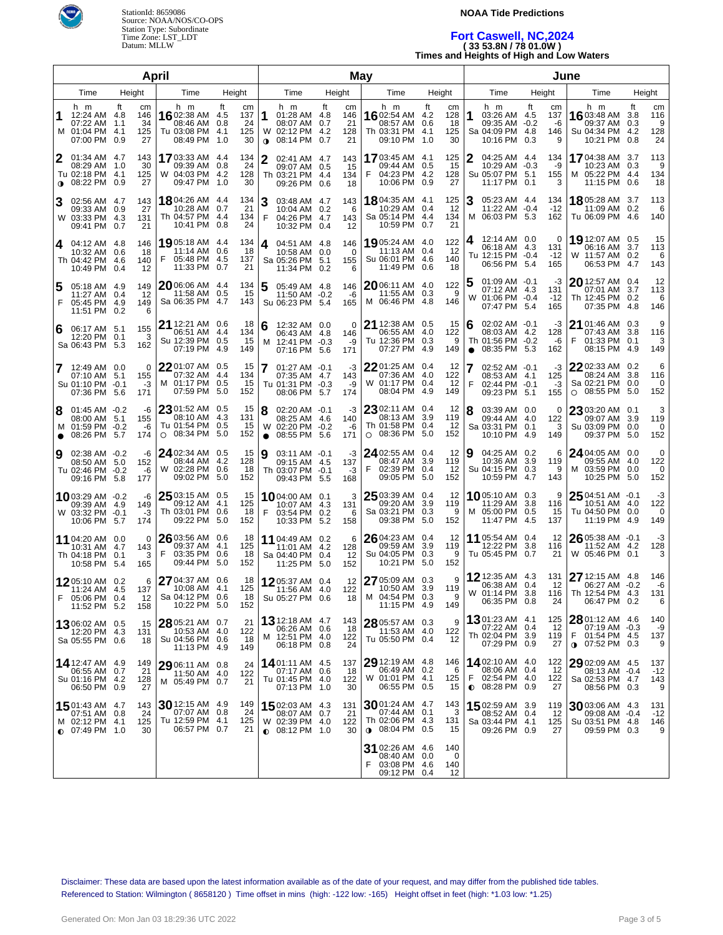

#### **NOAA Tide Predictions**

# **Fort Caswell, NC,2024 ( 33 53.8N / 78 01.0W )**

**Times and Heights of High and Low Waters**

|                |                                                                                    |                                     | April                                                                |                                                                |                     |                                                                            |        | <b>May</b>                   |                                                                          |                                                                | June           |                                                                          |    |                             |                                                                                                      |                                |                             |
|----------------|------------------------------------------------------------------------------------|-------------------------------------|----------------------------------------------------------------------|----------------------------------------------------------------|---------------------|----------------------------------------------------------------------------|--------|------------------------------|--------------------------------------------------------------------------|----------------------------------------------------------------|----------------|--------------------------------------------------------------------------|----|-----------------------------|------------------------------------------------------------------------------------------------------|--------------------------------|-----------------------------|
| Time<br>Height |                                                                                    | Time                                | Height                                                               |                                                                | Time                |                                                                            | Height | Time                         | Height                                                                   |                                                                | Time           | Height                                                                   |    | Time                        |                                                                                                      | Height                         |                             |
| 1              | h m<br>12:24 AM 4.8<br>07:22 AM 1.1<br>M 01:04 PM 4.1<br>07:00 PM 0.9              | ft<br>сm<br>146<br>34<br>125<br>27  | h m<br>16 02:38 AM<br>08:46 AM<br>Tu 03:08 PM<br>08:49 PM            | ft<br>cm<br>137<br>4.5<br>24<br>0.8<br>125<br>4.1<br>30<br>1.0 | 1<br>W<br>$\bullet$ | h m<br>01:28 AM 4.8<br>08:07 AM 0.7<br>02:12 PM 4.2<br>08:14 PM 0.7        | ft     | cm<br>146<br>21<br>128<br>21 | h m<br>16 02:54 AM<br>08:57 AM<br>Th 03:31 PM<br>09:10 PM                | ft<br>cm<br>4.2<br>128<br>18<br>0.6<br>4.1<br>125<br>30<br>1.0 | 1              | h m<br>03:26 AM 4.5<br>09:35 AM -0.2<br>Sa 04:09 PM 4.8<br>10:16 PM 0.3  | ft | cm<br>137<br>-6<br>146<br>9 | h m<br>16 03:48 AM<br>09:37 AM<br>Su 04:34 PM<br>10:21 PM                                            | ft<br>3.8<br>0.3<br>4.2<br>0.8 | cm<br>116<br>9<br>128<br>24 |
| 12             | 01:34 AM 4.7<br>08:29 AM 1.0<br>Tu 02:18 PM 4.1<br><b>0</b> 08:22 PM 0.9           | 143<br>30<br>125<br>27              | <b>17</b> 03:33 AM<br>09:39 AM<br>W 04:03 PM<br>09:47 PM             | 134<br>-4.4<br>24<br>0.8<br>4.2<br>128<br>1.0<br>30            | 2                   | 02:41 AM 4.7<br>09:07 AM 0.5<br>Th 03:21 PM 4.4<br>09:26 PM 0.6            |        | 143<br>15<br>134<br>18       | 1703:45 AM<br>09:44 AM<br>04:23 PM<br>F<br>10:06 PM                      | 125<br>4.1<br>15<br>0.5<br>4.2<br>128<br>0.9<br>27             | 2              | 04:25 AM 4.4<br>10:29 AM -0.3<br>Su 05:07 PM 5.1<br>11:17 PM 0.1         |    | 134<br>-9<br>155<br>3       | <b>17</b> 04:38 AM<br>10:23 AM<br>M 05:22 PM 4.4<br>11:15 PM 0.6                                     | 3.7<br>0.3                     | 113<br>9<br>134<br>18       |
| 3              | 02:56 AM 4.7<br>09:33 AM 0.9<br>W 03:33 PM 4.3<br>09:41 PM 0.7                     | 143<br>27<br>131<br>21              | 18 04:26 AM 4.4<br>10:28 AM<br>Th 04:57 PM<br>10:41 PM               | 134<br>0.7<br>21<br>-4.4<br>134<br>24<br>0.8                   | 3<br>F              | 03:48 AM 4.7<br>10:04 AM 0.2<br>04:26 PM 4.7<br>10:32 PM 0.4               |        | 143<br>6<br>143<br>12        | <b>18</b> 04:35 AM<br>10:29 AM<br>Sa 05:14 PM<br>10:59 PM                | 125<br>4.1<br>12<br>0.4<br>4.4<br>134<br>21<br>0.7             | З<br>M         | 05:23 AM 4.4<br>11:22 AM -0.4<br>06:03 PM 5.3                            |    | 134<br>$-12$<br>162         | <b>18</b> 05:28 AM<br>11:09 AM<br>Tu 06:09 PM                                                        | 3.7<br>0.2<br>4.6              | 113<br>6<br>140             |
| 4              | 04:12 AM 4.8<br>10:32 AM 0.6<br>Th 04:42 PM 4.6<br>10:49 PM 0.4                    | 146<br>18<br>140<br>12              | 19 05:18 AM 4.4<br>11:14 AM<br>05:48 PM<br>F<br>11:33 PM             | 134<br>0.6<br>18<br>- 4.5<br>137<br>21<br>0.7                  | 4                   | 04:51 AM 4.8<br>10:58 AM 0.0<br>Sa 05:26 PM 5.1<br>11:34 PM 0.2            |        | 146<br>$\Omega$<br>155<br>6  | <b>19</b> 05:24 AM<br>11:13 AM<br>Su 06:01 PM 4.6<br>11:49 PM            | 122<br>4.0<br>0.4<br>12<br>140<br>0.6<br>18                    |                | 12:14 AM 0.0<br>06:18 AM 4.3<br>Tu 12:15 PM -0.4<br>06:56 PM 5.4         |    | 0<br>131<br>$-12$<br>165    | 19 12:07 AM 0.5<br>06:16 AM<br>W 11:57 AM 0.2<br>06:53 PM 4.7                                        | 3.7                            | 15<br>113<br>6<br>143       |
| 5<br>F         | 05:18 AM 4.9<br>11:27 AM 0.4<br>05:45 PM 4.9<br>11:51 PM 0.2                       | 149<br>-12<br>149<br>6              | $20$ 06:06 AM<br>11:58 AM<br>Sa 06:35 PM                             | 134<br>-4.4<br>0.5<br>15<br>4.7<br>143                         |                     | 05:49 AM 4.8<br>11:50 AM -0.2<br>Su 06:23 PM 5.4                           |        | 146<br>-6<br>165             | $20$ 06:11 AM<br>11:55 AM<br>M 06:46 PM                                  | 122<br>4.0<br>9<br>0.3<br>4.8<br>146                           |                | $01:09$ AM $-0.1$<br>07:12 AM 4.3<br>W 01:06 PM -0.4<br>07:47 PM 5.4     |    | -3<br>131<br>$-12$<br>165   | 20 12:57 AM 0.4<br>07:01 AM<br>Th 12:45 PM 0.2<br>07:35 PM 4.8                                       | 3.7                            | 12<br>113<br>6<br>146       |
| 16             | 06:17 AM 5.1<br>12:20 PM 0.1<br>Sa 06:43 PM 5.3                                    | 155<br>3<br>162                     | 21 12:21 AM 0.6<br>06:51 AM<br>Su 12:39 PM<br>07:19 PM               | 18<br>4.4<br>134<br>0.5<br>15<br>4.9<br>149                    | 6<br>м              | 12:32 AM 0.0<br>06:43 AM 4.8<br>12:41 PM -0.3<br>07:16 PM 5.6              |        | 0<br>146<br>-9<br>171        | <b>21</b> 12:38 AM 0.5<br>06:55 AM<br>Tu 12:36 PM 0.3<br>07:27 PM        | 15<br>4.0<br>122<br>9<br>4.9<br>149                            | 6<br>$\bullet$ | 02:02 AM -0.1<br>08:03 AM 4.2<br>Th 01:56 PM -0.2<br>08:35 PM 5.3        |    | -3<br>128<br>-6<br>162      | 21 01:46 AM 0.3<br>07:43 AM 3.8<br>F<br>01:33 PM 0.1<br>08:15 PM 4.9                                 |                                | 9<br>116<br>3<br>149        |
|                | 12:49 AM 0.0<br>07:10 AM 5.1<br>Su 01:10 PM -0.1<br>07:36 PM 5.6                   | 0<br>155<br>$-3$<br>171             | $22$ 01:07 AM<br>07:32 AM<br>M 01:17 PM<br>07:59 PM                  | 0.5<br>15<br>4.4<br>134<br>0.5<br>15<br>5.0<br>152             |                     | $01:27$ AM $-0.1$<br>07:35 AM 4.7<br>Tu 01:31 PM -0.3<br>08:06 PM 5.7      |        | -3<br>143<br>-9<br>174       | $22$ 01:25 AM 0.4<br>07:36 AM<br>W 01:17 PM<br>08:04 PM                  | 12<br>4.0<br>122<br>0.4<br>12<br>4.9<br>149                    | F              | 02:52 AM -0.1<br>08:53 AM 4.1<br>02:44 PM -0.1<br>09:23 PM 5.1           |    | -3<br>125<br>$-3$<br>155    | $22$ 02:33 AM 0.2<br>08:24 AM<br>Sa 02:21 PM 0.0<br>08:55 PM<br>$\circ$                              | 3.8<br>5.0                     | 6<br>116<br>0<br>152        |
| 8<br>$\bullet$ | 01:45 AM -0.2<br>08:00 AM 5.1<br>M 01:59 PM -0.2<br>08:26 PM 5.7                   | -6<br>155<br>-6<br>174              | 23 01:52 AM<br>08:10 AM<br>Tu 01:54 PM<br>08:34 PM<br>$\circ$        | 0.5<br>15<br>4.3<br>131<br>0.5<br>15<br>5.0<br>152             | 8<br>$\bullet$      | 02:20 AM -0.1<br>08:25 AM 4.6<br>W 02:20 PM -0.2<br>08:55 PM 5.6           |        | -3<br>140<br>-6<br>171       | $23$ 02:11 AM 0.4<br>08:13 AM<br>Th 01:58 PM<br>$\circ$ 08:36 PM         | 12<br>3.9<br>119<br>0.4<br>12<br>152<br>5.0                    | 8              | 03:39 AM 0.0<br>09:44 AM 4.0<br>Sa 03:31 PM 0.1<br>10:10 PM 4.9          |    | 0<br>122<br>3<br>149        | $2303:20$ AM 0.1<br>09:07 AM<br>Su 03:09 PM<br>09:37 PM                                              | 3.9<br>0.0<br>5.0              | 3<br>119<br>0<br>152        |
| Ι9             | 02:38 AM -0.2<br>08:50 AM 5.0<br>Tu 02:46 PM -0.2<br>09:16 PM 5.8                  | -6<br>152<br>-6<br>177              | 24 02:34 AM<br>08:44 AM<br>W 02:28 PM<br>09:02 PM                    | 0.5<br>15<br>4.2<br>128<br>18<br>0.6<br>5.0<br>152             | 9                   | 03:11 AM -0.1<br>09:15 AM 4.5<br>Th 03:07 PM -0.1<br>09:43 PM 5.5          |        | -3<br>137<br>$-3$<br>168     | 24 02:55 AM 0.4<br>08:47 AM<br>F<br>02:39 PM<br>09:05 PM                 | 12<br>3.9<br>119<br>12<br>0.4<br>5.0<br>152                    | 9              | 04:25 AM 0.2<br>10:36 AM 3.9<br>Su 04:15 PM 0.3<br>10:59 PM 4.7          |    | 6<br>119<br>9<br>143        | 24 04:05 AM 0.0<br>09:55 AM 4.0<br>M 03:59 PM<br>10:25 PM                                            | 0.0<br>5.0                     | 0<br>122<br>0<br>152        |
|                | 1003:29 AM $-0.2$<br>09:39 AM 4.9<br>W 03:32 PM -0.1<br>10:06 PM 5.7               | -6<br>149<br>-3<br>174              | $2503:15$ AM 0.5<br>09:12 AM<br>Th 03:01 PM<br>09:22 PM              | 15<br>-4.1<br>125<br>18<br>0.6<br>5.0<br>152                   | F                   | <b>10</b> 04:00 AM 0.1<br>10:07 AM 4.3<br>03:54 PM 0.2<br>10:33 PM 5.2     |        | 3<br>131<br>6<br>158         | 25 03:39 AM 0.4<br>09:20 AM<br>Sa 03:21 PM<br>09:38 PM                   | 12<br>3.9<br>119<br>0.3<br>9<br>5.0<br>152                     |                | 1005:10 AM 0.3<br>11:29 AM 3.8<br>M 05:00 PM 0.5<br>11:47 PM 4.5         |    | 9<br>116<br>15<br>137       | $25\frac{04:51 \text{ AM} - 0.1}{0.5 \text{ AM}}$<br>10:51 AM 4.0<br>Tu 04:50 PM 0.0<br>11:19 PM 4.9 |                                | -3<br>122<br>0<br>149       |
|                | 11 04:20 AM 0.0<br>10:31 AM 4.7<br>Th 04:18 PM 0.1<br>10:58 PM                     | $\Omega$<br>143<br>3<br>-5.4<br>165 | 26 03:56 AM 0.6<br>09:37 AM<br>F<br>03:35 PM<br>09:44 PM             | 18<br>-4.1<br>125<br>18<br>0.6<br>5.0<br>152                   |                     | 11 04:49 AM 0.2<br>11:01 AM 4.2<br>Sa 04:40 PM 0.4<br>11:25 PM 5.0         |        | 6<br>128<br>12<br>152        | 2604:23 AM 0.4<br>09:59 AM<br>Su 04:05 PM<br>10:21 PM                    | 12<br>3.9<br>119<br>0.3<br>9<br>152<br>5.0                     |                | 11 05:54 AM 0.4<br>12:22 PM 3.8<br>Tu 05:45 PM 0.7                       |    | 12<br>116<br>21             | $26$ 05:38 AM $-0.1$<br>11:52 AM 4.2<br>W 05:46 PM 0.1                                               |                                | -3<br>128<br>3              |
|                | 1205:10 AM 0.2<br>11:24 AM 4.5<br>F 05:06 PM 0.4<br>11:52 PM 5.2                   | 6<br>137<br>12<br>158               | 27 04:37 AM 0.6<br>10:08 AM 4.1<br>Sa 04:12 PM 0.6<br>10:22 PM 5.0   | 18<br>125<br>18<br>152                                         |                     | 1205:37 AM 0.4<br>11:56 AM 4.0<br>Su 05:27 PM 0.6                          |        | 12<br>122<br>18              | 27 05:09 AM 0.3<br>10:50 AM 3.9<br>M 04:54 PM 0.3<br>11:15 PM 4.9        | 9<br>119<br>9<br>149                                           |                | <b>12</b> 12:35 AM 4.3<br>06:38 AM 0.4<br>W 01:14 PM 3.8<br>06:35 PM 0.8 |    | 131<br>12<br>116<br>24      | 27 12:15 AM 4.8<br>06:27 AM -0.2<br>Th 12:54 PM 4.3<br>06:47 PM 0.2                                  |                                | 146<br>-6<br>131<br>6       |
|                | 1306:02 AM 0.5<br>12:20 PM 4.3<br>Sa 05:55 PM 0.6                                  | 15<br>131<br>18                     | 28 05:21 AM 0.7<br>10:53 AM 4.0<br>Su 04:56 PM 0.6<br>11:13 PM 4.9   | 21<br>122<br>18<br>149                                         |                     | <b>13</b> 12:18 AM 4.7<br>06:26 AM 0.6<br>M 12:51 PM 4.0<br>06:18 PM 0.8   |        | 143<br>18<br>122<br>24       | $2805:57$ AM 0.3<br>11:53 AM 4.0<br>Tu 05:50 PM 0.4                      | 9<br>122<br>12                                                 |                | 1301:23 AM 4.1<br>07:22 AM 0.4<br>Th 02:04 PM 3.9<br>07:29 PM 0.9        |    | 125<br>12<br>119<br>27      | 28 01:12 AM 4.6<br>07:19 AM -0.3<br>01:54 PM 4.5<br>F.<br>$0.07:52$ PM 0.3                           |                                | 140<br>-9<br>137<br>9       |
|                | <b>14</b> 12:47 AM 4.9<br>06:55 AM 0.7<br>Su 01:16 PM 4.2<br>06:50 PM 0.9          | 149<br>21<br>128<br>27              | $2906:11$ AM 0.8<br>11:50 AM 4.0<br>M 05:49 PM 0.7                   | 24<br>122<br>21                                                |                     | 1401:11 AM 4.5<br>07:17 AM 0.6<br>Tu 01:45 PM 4.0<br>07:13 PM 1.0          |        | 137<br>18<br>122<br>30       | $29$ 12:19 AM 4.8<br>06:49 AM 0.2<br>W 01:01 PM 4.1<br>06:55 PM 0.5      | 146<br>-6<br>125<br>15                                         | F              | 1402:10 AM 4.0<br>08:06 AM 0.4<br>02:54 PM 4.0<br>$0.08:28$ PM 0.9       |    | 122<br>12<br>122<br>27      | 29 02:09 AM 4.5<br>08:13 AM -0.4<br>Sa 02:53 PM 4.7<br>08:56 PM 0.3                                  |                                | 137<br>$-12$<br>143<br>9    |
|                | <b>15</b> 01:43 AM 4.7<br>07:51 AM 0.8<br>M 02:12 PM 4.1<br>$\bullet$ 07:49 PM 1.0 | 143<br>24<br>125<br>30              | $30$ 12:15 AM 4.9<br>07:07 AM 0.8<br>Tu 12:59 PM 4.1<br>06:57 PM 0.7 | 149<br>24<br>125<br>21                                         |                     | 1502:03 AM 4.3<br>08:07 AM 0.7<br>W 02:39 PM 4.0<br>$\bullet$ 08:12 PM 1.0 |        | 131<br>21<br>122<br>30       | $30$ 01:24 AM<br>07:44 AM<br>Th 02:06 PM 4.3<br>$0.08:04 \text{ PM}$ 0.5 | 143<br>4.7<br>0.1<br>3<br>131<br>15                            |                | 1502:59 AM 3.9<br>08:52 AM 0.4<br>Sa 03:44 PM 4.1<br>09:26 PM 0.9        |    | 119<br>12<br>125<br>27      | $30$ 03:06 AM 4.3<br>09:08 AM -0.4<br>Su 03:51 PM 4.8<br>09:59 PM 0.3                                |                                | 131<br>$-12$<br>146<br>9    |
|                |                                                                                    |                                     |                                                                      |                                                                |                     |                                                                            |        |                              | 31 02:26 AM 4.6<br>08:40 AM<br>F 03:08 PM 4.6<br>09:12 PM 0.4            | 140<br>0.0<br>0<br>140<br>12                                   |                |                                                                          |    |                             |                                                                                                      |                                |                             |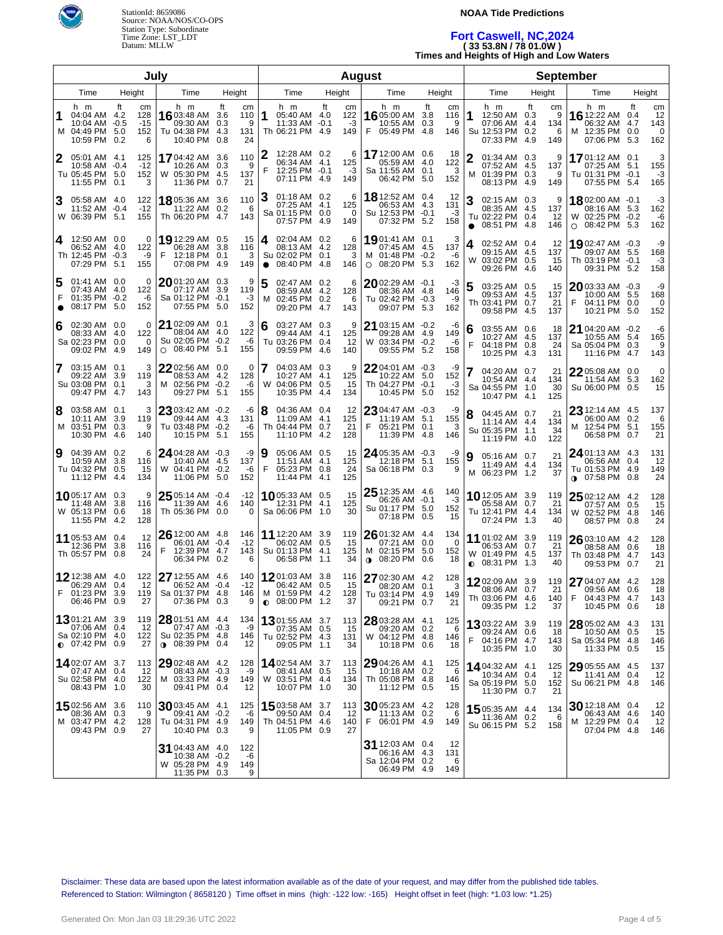

#### **NOAA Tide Predictions**

# **Fort Caswell, NC,2024 ( 33 53.8N / 78 01.0W )**

**Times and Heights of High and Low Waters**

| July                |                                                                                     |                         |                         |                                                                              |                                |                             | <b>August</b>  |                                                                         |              |                        |                                                        |                                                     |                         |                         | <b>September</b>  |                                                                            |          |                            |                                                                                 |                        |                             |  |
|---------------------|-------------------------------------------------------------------------------------|-------------------------|-------------------------|------------------------------------------------------------------------------|--------------------------------|-----------------------------|----------------|-------------------------------------------------------------------------|--------------|------------------------|--------------------------------------------------------|-----------------------------------------------------|-------------------------|-------------------------|-------------------|----------------------------------------------------------------------------|----------|----------------------------|---------------------------------------------------------------------------------|------------------------|-----------------------------|--|
|                     | Time                                                                                | Height                  |                         | Time                                                                         | Height                         |                             |                | Time                                                                    |              | Height                 |                                                        | Time                                                | Height                  |                         |                   | Time                                                                       |          | Height                     | Time                                                                            |                        | Height                      |  |
| 1                   | h m<br>04:04 AM 4.2<br>10:04 AM<br>M 04:49 PM 5.0<br>10:59 PM                       | Ħ<br>128<br>-0.5<br>0.2 | cm<br>$-15$<br>152<br>6 | h m<br>1603:48 AM<br>09:30 AM<br>Tu 04:38 PM<br>10:40 PM                     | ft<br>3.6<br>0.3<br>4.3<br>0.8 | cm<br>110<br>9<br>131<br>24 |                | h m<br>05:40 AM 4.0<br>11:33 AM<br>Th 06:21 PM 4.9                      | ft<br>$-0.1$ | cm<br>122<br>-3<br>149 | h m<br>16 05:00 AM<br>F                                | 10:55 AM<br>05:49 PM                                | ft<br>3.8<br>0.3<br>4.8 | cm<br>116<br>9<br>146   | 1                 | h m<br>12:50 AM 0.3<br>07:06 AM 4.4<br>Su 12:53 PM 0.2<br>07:33 PM         | Ħ<br>4.9 | cm<br>9<br>134<br>6<br>149 | h m<br>16 12:22 AM<br>06:32 AM<br>M 12:35 PM<br>07:06 PM 5.3                    | Ħ<br>0.4<br>4.7<br>0.0 | cm<br>12<br>143<br>0<br>162 |  |
| 2                   | 05:01 AM 4.1<br>10:58 AM -0.4<br>Tu 05:45 PM 5.0<br>11:55 PM 0.1                    | 125                     | $-12$<br>152<br>3       | 1704:42 AM 3.6<br>10:26 AM<br>W 05:30 PM 4.5<br>11:36 PM                     | 0.3<br>0.7                     | 110<br>9<br>137<br>21       | 12<br>F        | 12:28 AM 0.2<br>06:34 AM 4.1<br>12:25 PM -0.1<br>07:11 PM 4.9           |              | 6<br>125<br>-3<br>149  | 17 12:00 AM 0.6<br>Sa 11:55 AM                         | 05:59 AM<br>06:42 PM                                | 4.0<br>0.1<br>5.0       | 18<br>122<br>3<br>152   | $\mathbf{2}$<br>M | 01:34 AM 0.3<br>07:52 AM 4.5<br>01:39 PM 0.3<br>08:13 PM 4.9               |          | 9<br>137<br>9<br>149       | 1701:12 AM 0.1<br>07:25 AM 5.1<br>Tu 01:31 PM -0.1<br>07:55 PM 5.4              |                        | 3<br>155<br>-3<br>165       |  |
| 3                   | 05:58 AM 4.0<br>11:52 AM<br>W 06:39 PM 5.1                                          | $-0.4$<br>155           | 122<br>$-12$            | <b>18</b> 05:36 AM 3.6<br>11:22 AM<br>Th 06:20 PM 4.7                        | 0.2                            | 110<br>6<br>143             | З              | 01:18 AM 0.2<br>07:25 AM 4.1<br>Sa 01:15 PM 0.0<br>07:57 PM 4.9         |              | 6<br>125<br>0<br>149   | 18 12:52 AM 0.4                                        | 06:53 AM<br>Su 12:53 PM -0.1<br>07:32 PM 5.2        | 4.3                     | -12<br>131<br>-3<br>158 | 3<br>$\bullet$    | 02:15 AM 0.3<br>08:35 AM 4.5<br>Tu 02:22 PM 0.4<br>08:51 PM 4.8            |          | 9<br>137<br>12<br>146      | 1802:00 AM -0.1<br>08:16 AM 5.3<br>W 02:25 PM -0.2<br>O 08:42 PM 5.3            |                        | -3<br>162<br>-6<br>162      |  |
|                     | 4 12:50 AM 0.0<br>06:52 AM 4.0<br>Th 12:45 PM -0.3<br>07:29 PM 5.1                  | 122<br>155              | 0<br>-9                 | 19 12:29 AM 0.5<br>06:28 AM<br>F<br>12:18 PM 0.1<br>07:08 PM 4.9             | 3.8                            | 15<br>116<br>3<br>149       | 4<br>$\bullet$ | 02:04 AM 0.2<br>08:13 AM 4.2<br>Su 02:02 PM 0.1<br>08:40 PM 4.8         |              | 6<br>128<br>3<br>146   | 1901:41 AM 0.1                                         | 07:45 AM<br>M 01:48 PM -0.2<br>$\circ$ 08:20 PM 5.3 | 4.5                     | 3<br>137<br>-6<br>162   | 4<br>W            | 02:52 AM 0.4<br>09:15 AM 4.5<br>03:02 PM 0.5<br>09:26 PM 4.6               |          | 12<br>137<br>15<br>140     | 1902:47 AM -0.3<br>09:07 AM 5.5<br>Th 03:19 PM -0.1<br>09:31 PM 5.2             |                        | -9<br>168<br>-3<br>158      |  |
| 5<br>F<br>$\bullet$ | 01:41 AM 0.0<br>07:43 AM 4.0<br>01:35 PM -0.2<br>08:17 PM 5.0                       | 122<br>152              | $\Omega$<br>-6          | 2001:20 AM 0.3<br>07:17 AM<br>Sa 01:12 PM -0.1<br>07:55 PM 5.0               | 3.9                            | 9<br>119<br>-3<br>152       | 5<br>м         | 02:47 AM 0.2<br>08:59 AM 4.2<br>02:45 PM 0.2<br>09:20 PM 4.7            |              | 6<br>128<br>6<br>143   | $20$ 02:29 AM $-0.1$                                   | 08:36 AM 4.8<br>Tu 02:42 PM -0.3<br>09:07 PM 5.3    |                         | -3<br>146<br>-9<br>162  | 5                 | 03:25 AM 0.5<br>09:53 AM 4.5<br>Th 03:41 PM 0.7<br>09:58 PM 4.5            |          | 15<br>137<br>21<br>137     | $20$ 03:33 AM $-0.3$<br>10:00 AM 5.5<br>04:11 PM 0.0<br>F<br>10:21 PM 5.0       |                        | -9<br>168<br>0<br>152       |  |
| 6                   | 02:30 AM 0.0<br>08:33 AM 4.0<br>Sa 02:23 PM 0.0<br>09:02 PM 4.9                     | 122                     | 0<br>$\Omega$<br>149    | 21 02:09 AM 0.1<br>08:04 AM<br>Su 02:05 PM -0.2<br>$\circ$ 08:40 PM 5.1      | -4.0                           | 3<br>122<br>-6<br>155       | 6              | 03:27 AM 0.3<br>09:44 AM 4.1<br>Tu 03:26 PM 0.4<br>09:59 PM 4.6         |              | 9<br>125<br>12<br>140  | 21 03:15 AM -0.2                                       | 09:28 AM 4.9<br>W 03:34 PM -0.2<br>09:55 PM 5.2     |                         | -6<br>149<br>-6<br>158  | 6<br>F            | 03:55 AM 0.6<br>10:27 AM 4.5<br>04:18 PM 0.8<br>10:25 PM 4.3               |          | 18<br>137<br>24<br>131     | 21 04:20 AM -0.2<br>10:55 AM 5.4<br>Sa 05:04 PM 0.3<br>11:16 PM                 | 4.7                    | -6<br>165<br>9<br>143       |  |
| 7                   | $03:15$ AM $0.1$<br>09:22 AM 3.9<br>Su 03:08 PM 0.1<br>09:47 PM 4.7                 | 119                     | 3<br>3<br>143           | 22 02:56 AM 0.0<br>08:53 AM 4.2<br>M 02:56 PM -0.2<br>09:27 PM 5.1           |                                | 0<br>128<br>-6<br>155       | 7              | 04:03 AM 0.3<br>10:27 AM 4.1<br>W 04:06 PM 0.5<br>10:35 PM 4.4          |              | 9<br>125<br>15<br>134  | 2204:01 AM -0.3                                        | 10:22 AM 5.0<br>Th 04:27 PM -0.1<br>10:45 PM        | 5.0                     | -9<br>152<br>-3<br>152  |                   | 04:20 AM 0.7<br>10:54 AM 4.4<br>Sa 04:55 PM 1.0<br>10:47 PM 4.1            |          | 21<br>134<br>30<br>125     | $22$ 05:08 AM $\,$ 0.0 $\,$<br>11:54 AM 5.3<br>Su 06:00 PM 0.5                  |                        | 0<br>162<br>15              |  |
| 8                   | 03:58 AM 0.1<br>10:11 AM 3.9<br>M 03:51 PM 0.3<br>10:30 PM 4.6                      | 119<br>140              | 3<br>9                  | 23 03:42 AM -0.2<br>09:44 AM 4.3<br>Tu 03:48 PM -0.2<br>10:15 PM 5.1         |                                | -6<br>131<br>-6<br>155      | 8              | 04:36 AM 0.4<br>11:09 AM 4.1<br>Th 04:44 PM 0.7<br>11:10 PM 4.2         |              | 12<br>125<br>21<br>128 | 2304:47 AM -0.3<br>F                                   | 11:19 AM 5.1<br>05:21 PM 0.1<br>11:39 PM            | -4.8                    | -9<br>155<br>3<br>146   | 8                 | 04:45 AM 0.7<br>11:14 AM 4.4<br>Su 05:35 PM 1.1<br>11:19 PM 4.0            |          | 21<br>134<br>34<br>122     | 23 12:14 AM 4.5<br>06:00 AM 0.2<br>M 12:54 PM 5.1<br>06:58 PM 0.7               |                        | 137<br>6<br>155<br>21       |  |
| 9                   | 04:39 AM 0.2<br>10:59 AM 3.8<br>Tu 04:32 PM 0.5<br>11:12 PM 4.4                     | 116                     | 6<br>15<br>134          | 24 04:28 AM -0.3<br>10:40 AM 4.5<br>W 04:41 PM -0.2<br>11:06 PM 5.0          |                                | -9<br>137<br>-6<br>152      | 9<br>F         | 05:06 AM 0.5<br>11:51 AM 4.1<br>05:23 PM 0.8<br>11:44 PM 4.1            |              | 15<br>125<br>24<br>125 | $24$ 05:35 AM $-0.3$                                   | 12:18 PM 5.1<br>Sa 06:18 PM 0.3                     |                         | -9<br>155<br>9          | 9                 | 05:16 AM 0.7<br>11:49 AM 4.4<br>M 06:23 PM 1.2                             |          | 21<br>134<br>37            | $24$ 01:13 AM 4.3<br>06:56 AM 0.4<br>Tu 01:53 PM 4.9<br>$\bullet$ 07:58 PM 0.8  |                        | 131<br>12<br>149<br>24      |  |
|                     | <b>10</b> 05:17 AM 0.3<br>11:48 AM 3.8<br>W 05:13 PM 0.6<br>11:55 PM 4.2            | 116<br>128              | 9<br>18                 | 25 05:14 AM -0.4<br>11:39 AM 4.6<br>Th 05:36 PM 0.0                          |                                | $-12$<br>140<br>0           |                | 10 05:33 AM 0.5<br>12:31 PM 4.1<br>Sa 06:06 PM 1.0                      |              | 15<br>125<br>30        | $25$ 12:35 AM 4.6                                      | 06:26 AM -0.1<br>Su 01:17 PM 5.0<br>07:18 PM        | 0.5                     | 140<br>-3<br>152<br>15  |                   | <b>10.</b> 12:05 AM 3.9<br>05:58 AM 0.7<br>Tu 12:41 PM 4.4<br>07:24 PM 1.3 |          | 119<br>21<br>134<br>40     | 25 02:12 AM 4.2<br>07:57 AM 0.5<br>W 02:52 PM 4.8<br>08:57 PM 0.8               |                        | 128<br>15<br>146<br>24      |  |
|                     | <b>11</b> 05:53 AM 0.4<br>12:36 PM 3.8<br>Th 05:57 PM 0.8                           | 116                     | 12<br>24                | $2612:00$ AM $4.8$<br>06:01 AM -0.4<br>12:39 PM 4.7<br>F<br>06:34 PM 0.2     |                                | 146<br>$-12$<br>143<br>6    |                | 11 12:20 AM 3.9<br>06:02 AM 0.5<br>Su 01:13 PM 4.1<br>06:58 PM 1.1      |              | 119<br>15<br>125<br>34 | $2601:32$ AM 4.4<br>M 02:15 PM<br>$0.08:20 \text{ PM}$ | 07:21 AM                                            | 0.0<br>5.0<br>0.6       | 134<br>0<br>152<br>18   | $\bullet$         | 11 01:02 AM 3.9<br>06:53 AM 0.7<br>W 01:49 PM 4.5<br>08:31 PM 1.3          |          | 119<br>21<br>137<br>40     | 26 03:10 AM 4.2<br>08:58 AM 0.6<br>Th 03:48 PM 4.7<br>09:53 PM 0.7              |                        | 128<br>18<br>143<br>21      |  |
|                     | 12 12:38 AM 4.0<br>06:29 AM 0.4<br>F 01:23 PM 3.9<br>06:46 PM 0.9                   | 119                     | 122<br>12<br>27         | 27 12:55 AM 4.6<br>06:52 AM -0.4<br>Sa 01:37 PM 4.8<br>$07:36$ PM $0.3$      |                                | 140<br>$-12$<br>146<br>9    |                | 1201:03 AM 3.8<br>06:42 AM 0.5<br>M 01:59 PM 4.2<br>$_{\odot}$ 08:00 PM | -1.2         | 116<br>15<br>128<br>37 | 27 02:30 AM 4.2<br>Tu 03:14 PM                         | 08:20 AM 0.1<br>09:21 PM 0.7                        | 4.9                     | 128<br>3<br>149<br>21   |                   | 1202:09 AM 3.9<br>08:06 AM 0.7<br>Th 03:06 PM 4.6<br>09:35 PM 1.2          |          | 119<br>21<br>140<br>37     | 27 04:07 AM 4.2<br>09:56 AM 0.6<br>$F = 04:43 \text{ PM} = 4.7$<br>10:45 PM 0.6 |                        | 128<br>18<br>143<br>18      |  |
|                     | <b>13</b> 01:21 AM 3.9<br>07:06 AM 0.4<br>Sa 02:10 PM 4.0<br>$\bullet$ 07:42 PM 0.9 |                         | 119<br>12<br>122<br>27  | 28 01:51 AM 4.4<br>07:47 AM -0.3<br>Su 02:35 PM 4.8<br><b>0</b> 08:39 PM 0.4 |                                | 134<br>-9<br>146<br>12      |                | 1301:55 AM 3.7<br>07:35 AM 0.5<br>Tu 02:52 PM 4.3<br>09:05 PM 1.1       |              | 113<br>15<br>131<br>34 | 28 03:28 AM 4.1                                        | 09:20 AM 0.2<br>W 04:12 PM 4.8<br>10:18 PM 0.6      |                         | 125<br>-6<br>146<br>18  | F                 | 1303:22 AM 3.9<br>09:24 AM 0.6<br>04:16 PM 4.7<br>10:35 PM 1.0             |          | 119<br>18<br>143<br>30     | 28 05:02 AM 4.3<br>10:50 AM 0.5<br>Sa 05:34 PM 4.8<br>11:33 PM 0.5              |                        | 131<br>15<br>146<br>15      |  |
|                     | 1402:07 AM 3.7<br>07:47 AM 0.4<br>Su 02:58 PM 4.0<br>08:43 PM 1.0                   | 113<br>122              | 12<br>30                | 29 02:48 AM 4.2<br>08:43 AM -0.3<br>M 03:33 PM 4.9<br>09:41 PM 0.4           |                                | 128<br>-9<br>149<br>12      |                | 1402:54 AM 3.7<br>08:41 AM 0.5<br>W 03:51 PM 4.4<br>10:07 PM 1.0        |              | 113<br>15<br>134<br>30 | <b>29</b> 04:26 AM                                     | 10:18 AM<br>Th 05:08 PM 4.8<br>11:12 PM 0.5         | 4.1<br>0.2              | 125<br>-6<br>146<br>15  |                   | 14 04:32 AM 4.1<br>10:34 AM 0.4<br>Sa 05:19 PM 5.0<br>11:30 PM 0.7         |          | 125<br>12<br>152<br>21     | 29 05:55 AM 4.5<br>11:41 AM 0.4<br>Su 06:21 PM 4.8                              |                        | 137<br>12<br>146            |  |
|                     | 1502:56 AM 3.6<br>08:36 AM 0.3<br>M 03:47 PM 4.2<br>09:43 PM 0.9                    | 110<br>128              | 9<br>27                 | $30$ 03:45 AM 4.1<br>09:41 AM -0.2<br>Tu 04:31 PM 4.9<br>10:40 PM 0.3        |                                | 125<br>-6<br>149<br>9       |                | 15 03:58 AM 3.7<br>09:50 AM 0.4<br>Th 04:51 PM 4.6<br>11:05 PM 0.9      |              | 113<br>12<br>140<br>27 | 30 05:23 AM 4.2                                        | 11:13 AM 0.2<br>F 06:01 PM 4.9                      |                         | 128<br>-6<br>149        |                   | 15 05:35 AM 4.4<br>11:36 AM 0.2<br>Su 06:15 PM 5.2                         |          | 134<br>6<br>158            | $30$ 12:18 AM 0.4<br>06:43 AM 4.6<br>M 12:29 PM 0.4<br>07:04 PM 4.8             |                        | 12<br>140<br>12<br>146      |  |
|                     |                                                                                     |                         |                         | 31 04:43 AM 4.0<br>10:38 AM -0.2<br>W 05:28 PM 4.9<br>11:35 PM 0.3           |                                | 122<br>-6<br>149<br>9       |                |                                                                         |              |                        | $31$ 12:03 AM 0.4                                      | 06:16 AM 4.3<br>Sa 12:04 PM 0.2<br>06:49 PM 4.9     |                         | 12<br>131<br>6<br>149   |                   |                                                                            |          |                            |                                                                                 |                        |                             |  |